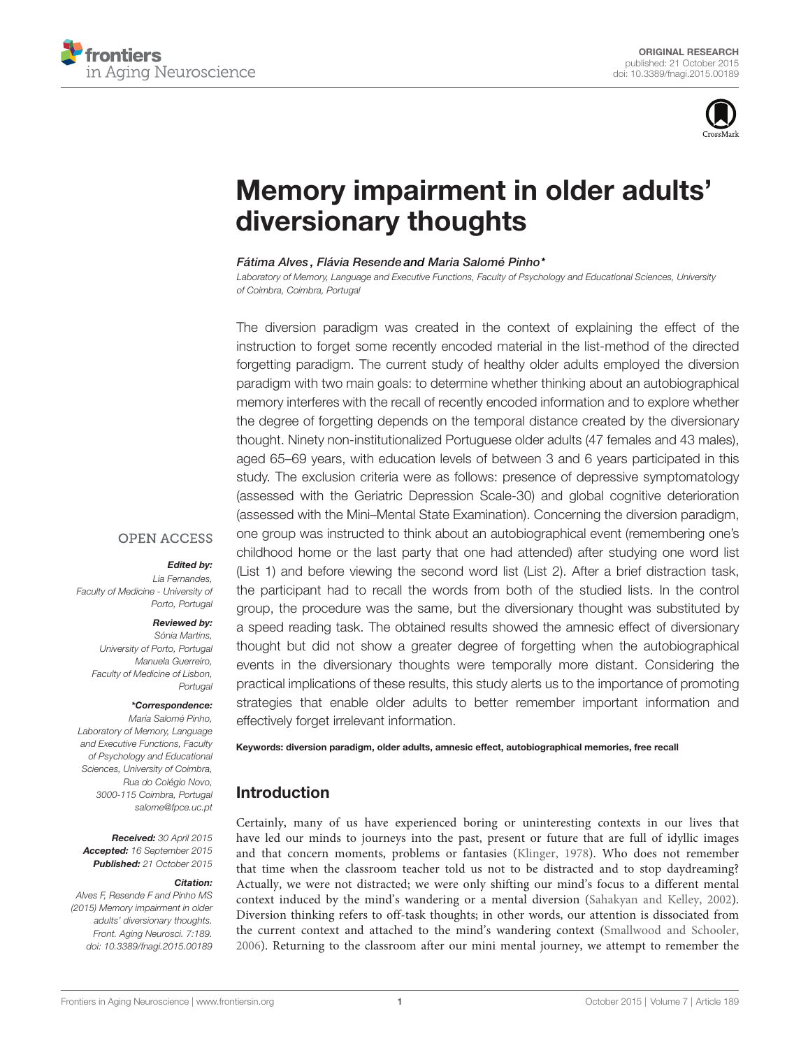



# [Memory impairment in older adults'](http://journal.frontiersin.org/article/10.3389/fnagi.2015.00189/abstract) [diversionary thoughts](http://journal.frontiersin.org/article/10.3389/fnagi.2015.00189/abstract)

### [Fátima Alves](http://loop.frontiersin.org/people/276738/overview) , Flávia Resende and [Maria Salomé Pinho\\*](http://loop.frontiersin.org/people/203269/overview)

Laboratory of Memory, Language and Executive Functions, Faculty of Psychology and Educational Sciences, University of Coimbra, Coimbra, Portugal

The diversion paradigm was created in the context of explaining the effect of the instruction to forget some recently encoded material in the list-method of the directed forgetting paradigm. The current study of healthy older adults employed the diversion paradigm with two main goals: to determine whether thinking about an autobiographical memory interferes with the recall of recently encoded information and to explore whether the degree of forgetting depends on the temporal distance created by the diversionary thought. Ninety non-institutionalized Portuguese older adults (47 females and 43 males), aged 65–69 years, with education levels of between 3 and 6 years participated in this study. The exclusion criteria were as follows: presence of depressive symptomatology (assessed with the Geriatric Depression Scale-30) and global cognitive deterioration (assessed with the Mini–Mental State Examination). Concerning the diversion paradigm, one group was instructed to think about an autobiographical event (remembering one's childhood home or the last party that one had attended) after studying one word list (List 1) and before viewing the second word list (List 2). After a brief distraction task, the participant had to recall the words from both of the studied lists. In the control group, the procedure was the same, but the diversionary thought was substituted by a speed reading task. The obtained results showed the amnesic effect of diversionary thought but did not show a greater degree of forgetting when the autobiographical events in the diversionary thoughts were temporally more distant. Considering the practical implications of these results, this study alerts us to the importance of promoting strategies that enable older adults to better remember important information and effectively forget irrelevant information.

# **OPEN ACCESS**

### Edited by:

Lia Fernandes, Faculty of Medicine - University of Porto, Portugal

### Reviewed by:

Sónia Martins, University of Porto, Portugal Manuela Guerreiro, Faculty of Medicine of Lisbon, **Portugal** 

### \*Correspondence:

Maria Salomé Pinho, Laboratory of Memory, Language and Executive Functions, Faculty of Psychology and Educational Sciences, University of Coimbra, Rua do Colégio Novo, 3000-115 Coimbra, Portugal [salome@fpce.uc.pt](mailto:salome@fpce.uc.pt)

Received: 30 April 2015 Accepted: 16 September 2015 Published: 21 October 2015

#### Citation:

Alves F, Resende F and Pinho MS (2015) Memory impairment in older adults' diversionary thoughts. Front. Aging Neurosci. 7:189. [doi: 10.3389/fnagi.2015.00189](http://dx.doi.org/10.3389/fnagi.2015.00189) Keywords: diversion paradigm, older adults, amnesic effect, autobiographical memories, free recall

# Introduction

Certainly, many of us have experienced boring or uninteresting contexts in our lives that have led our minds to journeys into the past, present or future that are full of idyllic images and that concern moments, problems or fantasies [\(Klinger, 1978\)](#page-3-0). Who does not remember that time when the classroom teacher told us not to be distracted and to stop daydreaming? Actually, we were not distracted; we were only shifting our mind's focus to a different mental context induced by the mind's wandering or a mental diversion [\(Sahakyan and Kelley, 2002\)](#page-3-1). Diversion thinking refers to off-task thoughts; in other words, our attention is dissociated from the current context and attached to the mind's wandering context [\(Smallwood and Schooler,](#page-4-0) [2006\)](#page-4-0). Returning to the classroom after our mini mental journey, we attempt to remember the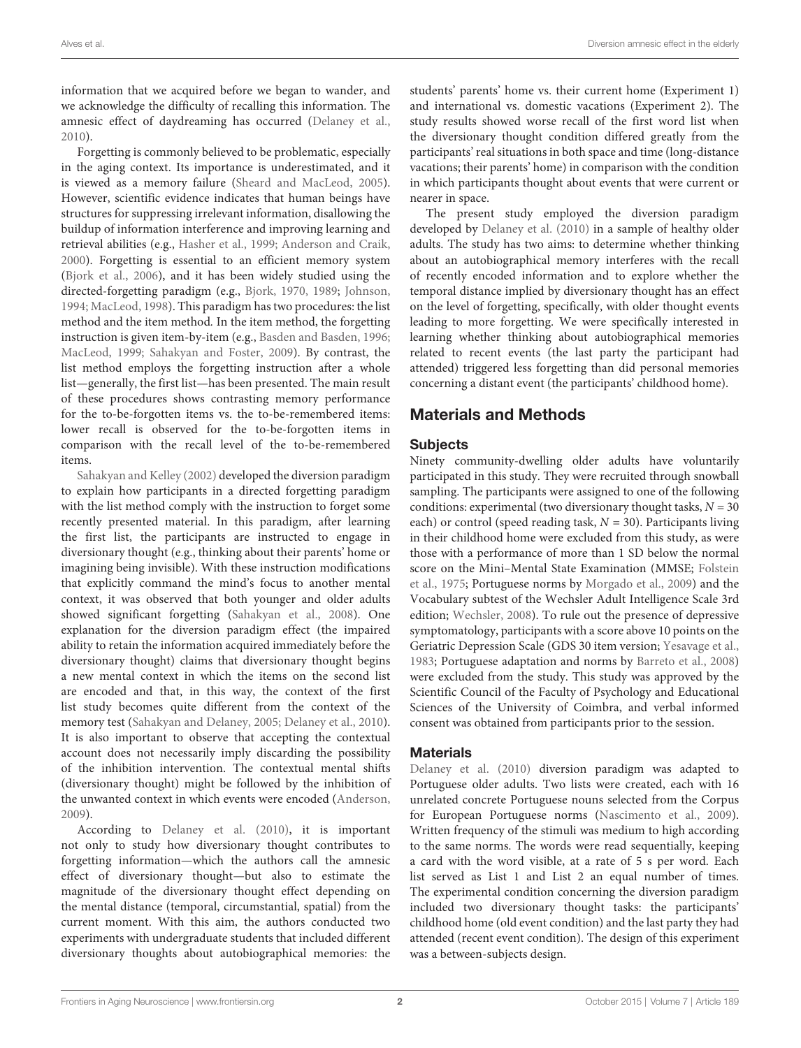information that we acquired before we began to wander, and we acknowledge the difficulty of recalling this information. The amnesic effect of daydreaming has occurred [\(Delaney et al.,](#page-3-2) [2010\)](#page-3-2).

Forgetting is commonly believed to be problematic, especially in the aging context. Its importance is underestimated, and it is viewed as a memory failure [\(Sheard and MacLeod,](#page-4-1) [2005\)](#page-4-1). However, scientific evidence indicates that human beings have structures for suppressing irrelevant information, disallowing the buildup of information interference and improving learning and retrieval abilities (e.g., [Hasher et al.,](#page-3-3) [1999;](#page-3-3) [Anderson and Craik,](#page-3-4) [2000\)](#page-3-4). Forgetting is essential to an efficient memory system [\(Bjork et al.,](#page-3-5) [2006\)](#page-3-5), and it has been widely studied using the directed-forgetting paradigm (e.g., [Bjork,](#page-3-6) [1970,](#page-3-6) [1989;](#page-3-7) [Johnson,](#page-3-8) [1994;](#page-3-8) [MacLeod,](#page-3-9) [1998\)](#page-3-9). This paradigm has two procedures: the list method and the item method. In the item method, the forgetting instruction is given item-by-item (e.g., [Basden and Basden,](#page-3-10) [1996;](#page-3-10) [MacLeod,](#page-3-11) [1999;](#page-3-11) [Sahakyan and Foster,](#page-3-12) [2009\)](#page-3-12). By contrast, the list method employs the forgetting instruction after a whole list—generally, the first list—has been presented. The main result of these procedures shows contrasting memory performance for the to-be-forgotten items vs. the to-be-remembered items: lower recall is observed for the to-be-forgotten items in comparison with the recall level of the to-be-remembered items.

[Sahakyan and Kelley](#page-3-1) [\(2002\)](#page-3-1) developed the diversion paradigm to explain how participants in a directed forgetting paradigm with the list method comply with the instruction to forget some recently presented material. In this paradigm, after learning the first list, the participants are instructed to engage in diversionary thought (e.g., thinking about their parents' home or imagining being invisible). With these instruction modifications that explicitly command the mind's focus to another mental context, it was observed that both younger and older adults showed significant forgetting [\(Sahakyan et al.,](#page-3-13) [2008\)](#page-3-13). One explanation for the diversion paradigm effect (the impaired ability to retain the information acquired immediately before the diversionary thought) claims that diversionary thought begins a new mental context in which the items on the second list are encoded and that, in this way, the context of the first list study becomes quite different from the context of the memory test [\(Sahakyan and Delaney,](#page-3-14) [2005;](#page-3-14) [Delaney et al.,](#page-3-2) [2010\)](#page-3-2). It is also important to observe that accepting the contextual account does not necessarily imply discarding the possibility of the inhibition intervention. The contextual mental shifts (diversionary thought) might be followed by the inhibition of the unwanted context in which events were encoded [\(Anderson,](#page-3-15) [2009\)](#page-3-15).

According to [Delaney et al.](#page-3-2) [\(2010\)](#page-3-2), it is important not only to study how diversionary thought contributes to forgetting information—which the authors call the amnesic effect of diversionary thought—but also to estimate the magnitude of the diversionary thought effect depending on the mental distance (temporal, circumstantial, spatial) from the current moment. With this aim, the authors conducted two experiments with undergraduate students that included different diversionary thoughts about autobiographical memories: the students' parents' home vs. their current home (Experiment 1) and international vs. domestic vacations (Experiment 2). The study results showed worse recall of the first word list when the diversionary thought condition differed greatly from the participants' real situations in both space and time (long-distance vacations; their parents' home) in comparison with the condition in which participants thought about events that were current or nearer in space.

The present study employed the diversion paradigm developed by [Delaney et al.](#page-3-2) [\(2010\)](#page-3-2) in a sample of healthy older adults. The study has two aims: to determine whether thinking about an autobiographical memory interferes with the recall of recently encoded information and to explore whether the temporal distance implied by diversionary thought has an effect on the level of forgetting, specifically, with older thought events leading to more forgetting. We were specifically interested in learning whether thinking about autobiographical memories related to recent events (the last party the participant had attended) triggered less forgetting than did personal memories concerning a distant event (the participants' childhood home).

# Materials and Methods

# **Subjects**

Ninety community-dwelling older adults have voluntarily participated in this study. They were recruited through snowball sampling. The participants were assigned to one of the following conditions: experimental (two diversionary thought tasks,  $N = 30$ each) or control (speed reading task,  $N = 30$ ). Participants living in their childhood home were excluded from this study, as were those with a performance of more than 1 SD below the normal score on the Mini–Mental State Examination (MMSE; [Folstein](#page-3-16) [et al.,](#page-3-16) [1975;](#page-3-16) Portuguese norms by [Morgado et al.,](#page-3-17) [2009\)](#page-3-17) and the Vocabulary subtest of the Wechsler Adult Intelligence Scale 3rd edition; [Wechsler,](#page-4-2) [2008\)](#page-4-2). To rule out the presence of depressive symptomatology, participants with a score above 10 points on the Geriatric Depression Scale (GDS 30 item version; [Yesavage et al.,](#page-4-3) [1983;](#page-4-3) Portuguese adaptation and norms by [Barreto et al.,](#page-3-18) [2008\)](#page-3-18) were excluded from the study. This study was approved by the Scientific Council of the Faculty of Psychology and Educational Sciences of the University of Coimbra, and verbal informed consent was obtained from participants prior to the session.

## **Materials**

[Delaney et al.](#page-3-2) [\(2010\)](#page-3-2) diversion paradigm was adapted to Portuguese older adults. Two lists were created, each with 16 unrelated concrete Portuguese nouns selected from the Corpus for European Portuguese norms [\(Nascimento et al.,](#page-3-19) [2009\)](#page-3-19). Written frequency of the stimuli was medium to high according to the same norms. The words were read sequentially, keeping a card with the word visible, at a rate of 5 s per word. Each list served as List 1 and List 2 an equal number of times. The experimental condition concerning the diversion paradigm included two diversionary thought tasks: the participants' childhood home (old event condition) and the last party they had attended (recent event condition). The design of this experiment was a between-subjects design.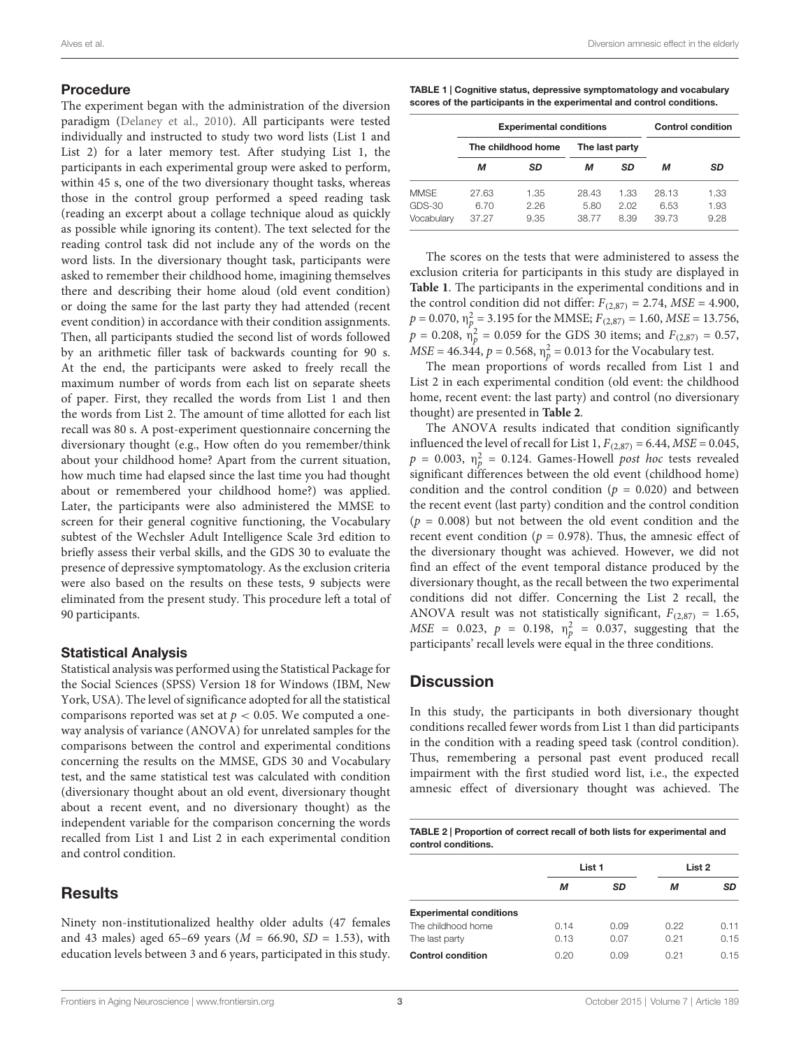### Procedure

The experiment began with the administration of the diversion paradigm [\(Delaney et al.,](#page-3-2) [2010\)](#page-3-2). All participants were tested individually and instructed to study two word lists (List 1 and List 2) for a later memory test. After studying List 1, the participants in each experimental group were asked to perform, within 45 s, one of the two diversionary thought tasks, whereas those in the control group performed a speed reading task (reading an excerpt about a collage technique aloud as quickly as possible while ignoring its content). The text selected for the reading control task did not include any of the words on the word lists. In the diversionary thought task, participants were asked to remember their childhood home, imagining themselves there and describing their home aloud (old event condition) or doing the same for the last party they had attended (recent event condition) in accordance with their condition assignments. Then, all participants studied the second list of words followed by an arithmetic filler task of backwards counting for 90 s. At the end, the participants were asked to freely recall the maximum number of words from each list on separate sheets of paper. First, they recalled the words from List 1 and then the words from List 2. The amount of time allotted for each list recall was 80 s. A post-experiment questionnaire concerning the diversionary thought (e.g., How often do you remember/think about your childhood home? Apart from the current situation, how much time had elapsed since the last time you had thought about or remembered your childhood home?) was applied. Later, the participants were also administered the MMSE to screen for their general cognitive functioning, the Vocabulary subtest of the Wechsler Adult Intelligence Scale 3rd edition to briefly assess their verbal skills, and the GDS 30 to evaluate the presence of depressive symptomatology. As the exclusion criteria were also based on the results on these tests, 9 subjects were eliminated from the present study. This procedure left a total of 90 participants.

### Statistical Analysis

Statistical analysis was performed using the Statistical Package for the Social Sciences (SPSS) Version 18 for Windows (IBM, New York, USA). The level of significance adopted for all the statistical comparisons reported was set at  $p < 0.05$ . We computed a oneway analysis of variance (ANOVA) for unrelated samples for the comparisons between the control and experimental conditions concerning the results on the MMSE, GDS 30 and Vocabulary test, and the same statistical test was calculated with condition (diversionary thought about an old event, diversionary thought about a recent event, and no diversionary thought) as the independent variable for the comparison concerning the words recalled from List 1 and List 2 in each experimental condition and control condition.

# **Results**

Ninety non-institutionalized healthy older adults (47 females and 43 males) aged 65–69 years ( $M = 66.90$ ,  $SD = 1.53$ ), with education levels between 3 and 6 years, participated in this study.

<span id="page-2-0"></span>TABLE 1 | Cognitive status, depressive symptomatology and vocabulary scores of the participants in the experimental and control conditions.

|             | <b>Experimental conditions</b> |      |                |      | <b>Control condition</b> |      |
|-------------|--------------------------------|------|----------------|------|--------------------------|------|
|             | The childhood home             |      | The last party |      |                          |      |
|             | м                              | SD   | м              | SD   | м                        | SD   |
| <b>MMSE</b> | 27.63                          | 1.35 | 28.43          | 1.33 | 28.13                    | 1.33 |
| $GDS-30$    | 6.70                           | 2.26 | 5.80           | 2.02 | 6.53                     | 1.93 |
| Vocabulary  | 37.27                          | 9.35 | 38.77          | 8.39 | 39.73                    | 9.28 |

The scores on the tests that were administered to assess the exclusion criteria for participants in this study are displayed in **[Table 1](#page-2-0)**. The participants in the experimental conditions and in the control condition did not differ:  $F_{(2,87)} = 2.74$ ,  $MSE = 4.900$ ,  $p = 0.070$ ,  $\eta_p^2 = 3.195$  for the MMSE;  $F_{(2,87)} = 1.60$ ,  $MSE = 13.756$ ,  $p = 0.208$ ,  $\hat{\eta}_p^2 = 0.059$  for the GDS 30 items; and  $F_{(2,87)} = 0.57$ ,  $MSE = 46.344, p = 0.568, \eta_p^2 = 0.013$  for the Vocabulary test.

The mean proportions of words recalled from List 1 and List 2 in each experimental condition (old event: the childhood home, recent event: the last party) and control (no diversionary thought) are presented in **[Table 2](#page-2-1)**.

The ANOVA results indicated that condition significantly influenced the level of recall for List 1,  $F_{(2,87)} = 6.44$ ,  $MSE = 0.045$ ,  $p = 0.003$ ,  $\eta_p^2 = 0.124$ . Games-Howell post hoc tests revealed significant differences between the old event (childhood home) condition and the control condition ( $p = 0.020$ ) and between the recent event (last party) condition and the control condition  $(p = 0.008)$  but not between the old event condition and the recent event condition ( $p = 0.978$ ). Thus, the amnesic effect of the diversionary thought was achieved. However, we did not find an effect of the event temporal distance produced by the diversionary thought, as the recall between the two experimental conditions did not differ. Concerning the List 2 recall, the ANOVA result was not statistically significant,  $F_{(2,87)} = 1.65$ ,  $MSE = 0.023$ ,  $p = 0.198$ ,  $\eta_p^2 = 0.037$ , suggesting that the participants' recall levels were equal in the three conditions.

### **Discussion**

In this study, the participants in both diversionary thought conditions recalled fewer words from List 1 than did participants in the condition with a reading speed task (control condition). Thus, remembering a personal past event produced recall impairment with the first studied word list, i.e., the expected amnesic effect of diversionary thought was achieved. The

<span id="page-2-1"></span>TABLE 2 | Proportion of correct recall of both lists for experimental and control conditions.

|                                |      |        | List 2 |      |
|--------------------------------|------|--------|--------|------|
|                                |      | List 1 |        |      |
|                                | М    | SD     | м      | SD   |
| <b>Experimental conditions</b> |      |        |        |      |
| The childhood home             | 0.14 | 0.09   | 0.22   | 0.11 |
| The last party                 | 0.13 | 0.07   | 0.21   | 0.15 |
| <b>Control condition</b>       | 0.20 | 0.09   | 0.21   | 0.15 |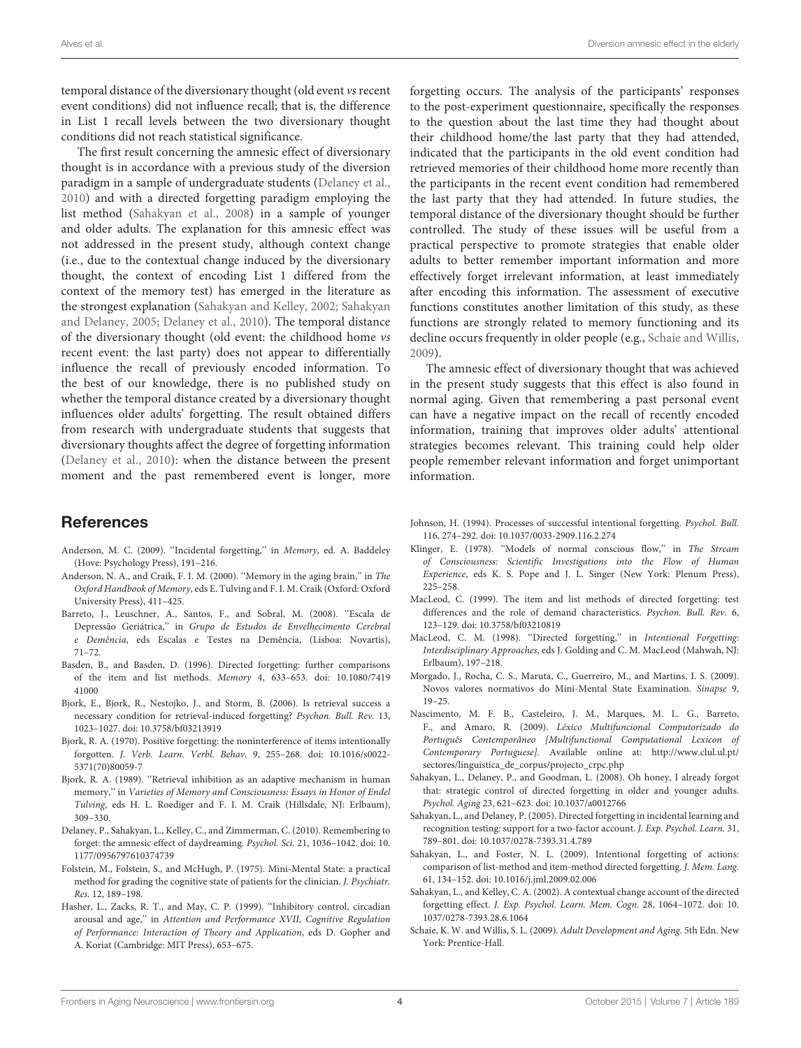temporal distance of the diversionary thought (old event vs recent event conditions) did not influence recall; that is, the difference in List 1 recall levels between the two diversionary thought conditions did not reach statistical significance.

The first result concerning the amnesic effect of diversionary thought is in accordance with a previous study of the diversion paradigm in a sample of undergraduate students [\(Delaney et al.,](#page-3-2) [2010\)](#page-3-2) and with a directed forgetting paradigm employing the list method [\(Sahakyan et al.,](#page-3-13) [2008\)](#page-3-13) in a sample of younger and older adults. The explanation for this amnesic effect was not addressed in the present study, although context change (i.e., due to the contextual change induced by the diversionary thought, the context of encoding List 1 differed from the context of the memory test) has emerged in the literature as the strongest explanation [\(Sahakyan and Kelley,](#page-3-1) [2002;](#page-3-1) [Sahakyan](#page-3-14) [and Delaney,](#page-3-14) [2005;](#page-3-14) [Delaney et al.,](#page-3-2) [2010\)](#page-3-2). The temporal distance of the diversionary thought (old event: the childhood home vs recent event: the last party) does not appear to differentially influence the recall of previously encoded information. To the best of our knowledge, there is no published study on whether the temporal distance created by a diversionary thought influences older adults' forgetting. The result obtained differs from research with undergraduate students that suggests that diversionary thoughts affect the degree of forgetting information [\(Delaney et al.,](#page-3-2) [2010\)](#page-3-2): when the distance between the present moment and the past remembered event is longer, more

# References

- <span id="page-3-15"></span>Anderson, M. C. (2009). ''Incidental forgetting,'' in Memory, ed. A. Baddeley (Hove: Psychology Press), 191–216.
- <span id="page-3-4"></span>Anderson, N. A., and Craik, F. I. M. (2000). ''Memory in the aging brain,'' in The Oxford Handbook of Memory, eds E. Tulving and F. I. M. Craik (Oxford: Oxford University Press), 411–425.
- <span id="page-3-18"></span>Barreto, J., Leuschner, A., Santos, F., and Sobral, M. (2008). ''Escala de Depressão Geriátrica,'' in Grupo de Estudos de Envelhecimento Cerebral e Demência, eds Escalas e Testes na Demência, (Lisboa: Novartis), 71–72.
- <span id="page-3-10"></span>Basden, B., and Basden, D. (1996). Directed forgetting: further comparisons of the item and list methods. Memory 4, 633–653. doi: 10.1080/7419 41000
- <span id="page-3-5"></span>Bjork, E., Bjork, R., Nestojko, J., and Storm, B. (2006). Is retrieval success a necessary condition for retrieval-induced forgetting? Psychon. Bull. Rev. 13, 1023–1027. doi: 10.3758/bf03213919
- <span id="page-3-6"></span>Bjork, R. A. (1970). Positive forgetting: the noninterference of items intentionally forgotten. J. Verb. Learn. Verbl. Behav. 9, 255–268. doi: 10.1016/s0022- 5371(70)80059-7
- <span id="page-3-7"></span>Bjork, R. A. (1989). ''Retrieval inhibition as an adaptive mechanism in human memory,'' in Varieties of Memory and Consciousness: Essays in Honor of Endel Tulving, eds H. L. Roediger and F. I. M. Craik (Hillsdale, NJ: Erlbaum), 309–330.
- <span id="page-3-2"></span>Delaney, P., Sahakyan, L., Kelley, C., and Zimmerman, C. (2010). Remembering to forget: the amnesic effect of daydreaming. Psychol. Sci. 21, 1036–1042. doi: 10. 1177/0956797610374739
- <span id="page-3-16"></span>Folstein, M., Folstein, S., and McHugh, P. (1975). Mini-Mental State: a practical method for grading the cognitive state of patients for the clinician. J. Psychiatr. Res. 12, 189–198.
- <span id="page-3-3"></span>Hasher, L., Zacks, R. T., and May, C. P. (1999). ''Inhibitory control, circadian arousal and age,'' in Attention and Performance XVII, Cognitive Regulation of Performance: Interaction of Theory and Application, eds D. Gopher and A. Koriat (Cambridge: MIT Press), 653–675.

forgetting occurs. The analysis of the participants' responses to the post-experiment questionnaire, specifically the responses to the question about the last time they had thought about their childhood home/the last party that they had attended, indicated that the participants in the old event condition had retrieved memories of their childhood home more recently than the participants in the recent event condition had remembered the last party that they had attended. In future studies, the temporal distance of the diversionary thought should be further controlled. The study of these issues will be useful from a practical perspective to promote strategies that enable older adults to better remember important information and more effectively forget irrelevant information, at least immediately after encoding this information. The assessment of executive functions constitutes another limitation of this study, as these functions are strongly related to memory functioning and its decline occurs frequently in older people (e.g., [Schaie and Willis,](#page-3-20) [2009\)](#page-3-20).

The amnesic effect of diversionary thought that was achieved in the present study suggests that this effect is also found in normal aging. Given that remembering a past personal event can have a negative impact on the recall of recently encoded information, training that improves older adults' attentional strategies becomes relevant. This training could help older people remember relevant information and forget unimportant information.

- <span id="page-3-8"></span>Johnson, H. (1994). Processes of successful intentional forgetting. Psychol. Bull. 116, 274–292. doi: 10.1037/0033-2909.116.2.274
- <span id="page-3-0"></span>Klinger, E. (1978). "Models of normal conscious flow," in The Stream of Consciousness: Scientific Investigations into the Flow of Human Experience, eds K. S. Pope and J. L. Singer (New York: Plenum Press), 225–258.
- <span id="page-3-11"></span>MacLeod, C. (1999). The item and list methods of directed forgetting: test differences and the role of demand characteristics. Psychon. Bull. Rev. 6, 123–129. doi: 10.3758/bf03210819
- <span id="page-3-9"></span>MacLeod, C. M. (1998). ''Directed forgetting,'' in Intentional Forgetting: Interdisciplinary Approaches, eds J. Golding and C. M. MacLeod (Mahwah, NJ: Erlbaum), 197–218.
- <span id="page-3-17"></span>Morgado, J., Rocha, C. S., Maruta, C., Guerreiro, M., and Martins, I. S. (2009). Novos valores normativos do Mini-Mental State Examination. Sinapse 9, 19–25.
- <span id="page-3-19"></span>Nascimento, M. F. B., Casteleiro, J. M., Marques, M. L. G., Barreto, F., and Amaro, R. (2009). Léxico Multifuncional Computorizado do Português Contemporâneo [Multifunctional Computational Lexicon of Contemporary Portuguese]. Available online at: [http://www.clul.ul.pt/](http://www.clul.ul.pt/sectores/linguistica_de_corpus/projecto_crpc.php) [sectores/linguistica\\_de\\_corpus/projecto\\_crpc.php](http://www.clul.ul.pt/sectores/linguistica_de_corpus/projecto_crpc.php)
- <span id="page-3-13"></span>Sahakyan, L., Delaney, P., and Goodman, L. (2008). Oh honey, I already forgot that: strategic control of directed forgetting in older and younger adults. Psychol. Aging 23, 621–623. doi: 10.1037/a0012766
- <span id="page-3-14"></span>Sahakyan, L., and Delaney, P. (2005). Directed forgetting in incidental learning and recognition testing: support for a two-factor account. J. Exp. Psychol. Learn. 31, 789–801. doi: 10.1037/0278-7393.31.4.789
- <span id="page-3-12"></span>Sahakyan, L., and Foster, N. L. (2009). Intentional forgetting of actions: comparison of list-method and item-method directed forgetting. J. Mem. Lang. 61, 134–152. doi: 10.1016/j.jml.2009.02.006
- <span id="page-3-1"></span>Sahakyan, L., and Kelley, C. A. (2002). A contextual change account of the directed forgetting effect. J. Exp. Psychol. Learn. Mem. Cogn. 28, 1064–1072. doi: 10. 1037/0278-7393.28.6.1064
- <span id="page-3-20"></span>Schaie, K. W. and Willis, S. L. (2009). Adult Development and Aging. 5th Edn. New York: Prentice-Hall.